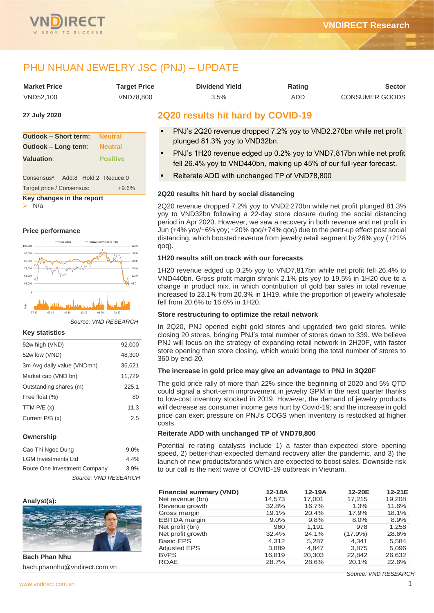

# PHU NHUAN JEWELRY JSC (PNJ) – UPDATE

| <b>Market Price</b> | Target Price     | <b>Dividend Yield</b> | Rating | Sector         |
|---------------------|------------------|-----------------------|--------|----------------|
| VND52.100           | <b>VND78.800</b> | 3.5%                  | ADD    | CONSUMER GOODS |

#### **27 July 2020**

| <b>Outlook - Short term: Neutral</b> |                 |  |  |  |  |  |  |  |  |
|--------------------------------------|-----------------|--|--|--|--|--|--|--|--|
| <b>Outlook - Long term:</b>          | <b>Neutral</b>  |  |  |  |  |  |  |  |  |
| <b>Valuation:</b>                    | <b>Positive</b> |  |  |  |  |  |  |  |  |
|                                      |                 |  |  |  |  |  |  |  |  |
| Consensus*: Add:8 Hold:2 Reduce:0    |                 |  |  |  |  |  |  |  |  |
| Target price / Consensus:            | $+9.6%$         |  |  |  |  |  |  |  |  |
| Key changes in the report            |                 |  |  |  |  |  |  |  |  |

➢ N/a

**Price performance**



#### *Source: VND RESEARCH*

#### **Key statistics**

| 52w high (VND)             | 92,000 |
|----------------------------|--------|
| 52w low (VND)              | 48,300 |
| 3m Avg daily value (VNDmn) | 36,621 |
| Market cap (VND bn)        | 11,729 |
| Outstanding shares (m)     | 225.1  |
| Free float (%)             | 80     |
| TTM $P/E(x)$               | 11.3   |
| Current $P/B(x)$           | 2.5    |
|                            |        |

#### **Ownership**

| Cao Thi Ngoc Dung            | $9.0\%$ |
|------------------------------|---------|
| <b>LGM Investments Ltd</b>   | 4.4%    |
| Route One Investment Company | 3.9%    |
| Source: VND RESEARCH         |         |

#### **Analyst(s):**



**Bach Phan Nhu** bach.phannhu@vndirect.com.vn

# **2Q20 results hit hard by COVID-19**

- PNJ's 2Q20 revenue dropped 7.2% yoy to VND2.270bn while net profit plunged 81.3% yoy to VND32bn.
- PNJ's 1H20 revenue edged up 0.2% yoy to VND7,817bn while net profit fell 26.4% yoy to VND440bn, making up 45% of our full-year forecast.
- Reiterate ADD with unchanged TP of VND78,800

#### **2Q20 results hit hard by social distancing**

2Q20 revenue dropped 7.2% yoy to VND2.270bn while net profit plunged 81.3% yoy to VND32bn following a 22-day store closure during the social distancing period in Apr 2020. However, we saw a recovery in both revenue and net profit in Jun (+4% yoy/+6% yoy; +20% qoq/+74% qoq) due to the pent-up effect post social distancing, which boosted revenue from jewelry retail segment by 26% yoy (+21% qoq).

#### **1H20 results still on track with our forecasts**

1H20 revenue edged up 0.2% yoy to VND7,817bn while net profit fell 26.4% to VND440bn. Gross profit margin shrank 2.1% pts yoy to 19.5% in 1H20 due to a change in product mix, in which contribution of gold bar sales in total revenue increased to 23.1% from 20.3% in 1H19, while the proportion of jewelry wholesale fell from 20.6% to 16.6% in 1H20.

## **Store restructuring to optimize the retail network**

In 2Q20, PNJ opened eight gold stores and upgraded two gold stores, while closing 20 stores, bringing PNJ's total number of stores down to 339. We believe PNJ will focus on the strategy of expanding retail network in 2H20F, with faster store opening than store closing, which would bring the total number of stores to 360 by end-20.

#### **The increase in gold price may give an advantage to PNJ in 3Q20F**

The gold price rally of more than 22% since the beginning of 2020 and 5% QTD could signal a short-term improvement in jewelry GPM in the next quarter thanks to low-cost inventory stocked in 2019. However, the demand of jewelry products will decrease as consumer income gets hurt by Covid-19; and the increase in gold price can exert pressure on PNJ's COGS when inventory is restocked at higher costs.

# **Reiterate ADD with unchanged TP of VND78,800**

Potential re-rating catalysts include 1) a faster-than-expected store opening speed, 2) better-than-expected demand recovery after the pandemic, and 3) the launch of new products/brands which are expected to boost sales. Downside risk to our call is the next wave of COVID-19 outbreak in Vietnam.

| <b>Financial summary (VND)</b> | $12-18A$ | $12-19A$ | 12-20E     | 12-21E |
|--------------------------------|----------|----------|------------|--------|
| Net revenue (bn)               | 14,573   | 17,001   | 17,215     | 19,208 |
| Revenue growth                 | 32.8%    | 16.7%    | 1.3%       | 11.6%  |
| Gross margin                   | 19.1%    | 20.4%    | 17.9%      | 18.1%  |
| <b>EBITDA</b> margin           | $9.0\%$  | 9.8%     | 8.0%       | 8.9%   |
| Net profit (bn)                | 960      | 1.191    | 978        | 1,258  |
| Net profit growth              | 32.4%    | 24.1%    | $(17.9\%)$ | 28.6%  |
| <b>Basic EPS</b>               | 4.312    | 5,287    | 4.341      | 5,584  |
| <b>Adjusted EPS</b>            | 3,889    | 4,847    | 3,875      | 5,096  |
| <b>BVPS</b>                    | 16,819   | 20,303   | 22,842     | 26,632 |
| <b>ROAE</b>                    | 28.7%    | 28.6%    | 20.1%      | 22.6%  |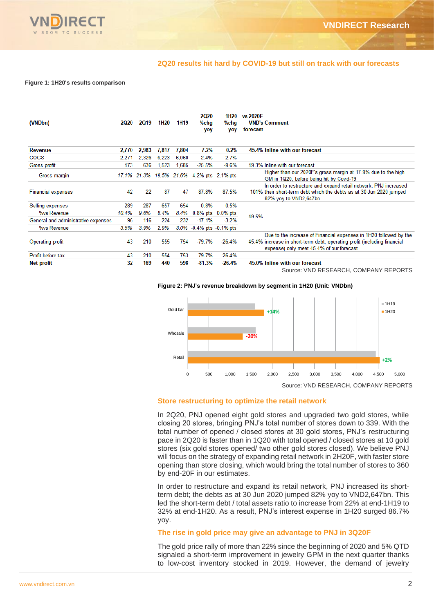

#### **2Q20 results hit hard by COVID-19 but still on track with our forecasts**

#### **Figure 1: 1H20's results comparison**

| (VNDbn)                             | <b>2Q20</b> | 2019  | 1H <sub>20</sub> | 1H <sub>19</sub> | <b>2Q20</b><br>%chg<br>yoy                  | 1H20<br>%chg<br>yoy | vs 2020F<br><b>VND's Comment</b><br>forecast                                                                                                                                              |
|-------------------------------------|-------------|-------|------------------|------------------|---------------------------------------------|---------------------|-------------------------------------------------------------------------------------------------------------------------------------------------------------------------------------------|
| <b>Revenue</b>                      | 2,770       | 2,983 | 7,817            | 7,804            | $-7.2%$                                     | 0.2%                | 45.4% Inline with our forecast                                                                                                                                                            |
| <b>COGS</b>                         | 2.271       | 2.326 | 6.223            | 6.060            | $-2.4%$                                     | 2.7%                |                                                                                                                                                                                           |
| Gross profit                        | 473         | 636   | 1,523            | 1.685            | $-25.5%$                                    | $-9.6%$             | 49.3% Inline with our forecast                                                                                                                                                            |
| Gross margin                        |             |       |                  |                  | 17.1% 21.3% 19.5% 21.6% -4.2% pts -2.1% pts |                     | Higher than our 2020F's gross margin at 17.9% due to the high<br>GM in 1Q20, before being hit by Covid-19                                                                                 |
| <b>Financial expenses</b>           | 42          | 22    | 87               | 47               | 87.8%                                       | 87.5%               | In order to restructure and expand retail network, PNJ increased<br>101% their short-term debt which the debts as at 30 Jun 2020 jumped<br>82% yoy to VND2,647bn.                         |
| Selling expenses                    | 289         | 287   | 657              | 654              | 0.8%                                        | 0.5%                |                                                                                                                                                                                           |
| %vs Revenue                         | 10.4%       | 9.6%  | 8.4%             | 8.4%             |                                             | 0.8% pts 0.0% pts   | 49.5%                                                                                                                                                                                     |
| General and administrative expenses | 96          | 116   | 224              | 232              | $-17.1%$                                    | $-3.2%$             |                                                                                                                                                                                           |
| %vs Revenue                         | 3.5%        | 3.9%  | 2.9%             |                  | 3.0% -0.4% pts -0.1% pts                    |                     |                                                                                                                                                                                           |
| Operating profit                    | 43          | 210   | 555              | 754              | $-79.7%$                                    | $-26.4%$            | Due to the increase of Financial expenses in 1H20 followed by the<br>45.4% increase in short-term debt, operating profit (including financial<br>expense) only meet 45.4% of our forecast |
| Profit before tax                   | 43          | 210   | 554              | 753              | $-79.7%$                                    | $-26.4%$            |                                                                                                                                                                                           |
| <b>Net profit</b>                   | 32          | 169   | 440              | 598              | $-81.3%$                                    | $-26.4%$            | 45.0% Inline with our forecast<br>Source: VND RESEARCH, COMPANY REPORTS                                                                                                                   |





## **Store restructuring to optimize the retail network**

In 2Q20, PNJ opened eight gold stores and upgraded two gold stores, while closing 20 stores, bringing PNJ's total number of stores down to 339. With the total number of opened / closed stores at 30 gold stores, PNJ's restructuring pace in 2Q20 is faster than in 1Q20 with total opened / closed stores at 10 gold stores (six gold stores opened/ two other gold stores closed). We believe PNJ will focus on the strategy of expanding retail network in 2H20F, with faster store opening than store closing, which would bring the total number of stores to 360 by end-20F in our estimates.

In order to restructure and expand its retail network, PNJ increased its shortterm debt; the debts as at 30 Jun 2020 jumped 82% yoy to VND2,647bn. This led the short-term debt / total assets ratio to increase from 22% at end-1H19 to 32% at end-1H20. As a result, PNJ's interest expense in 1H20 surged 86.7% yoy.

# **The rise in gold price may give an advantage to PNJ in 3Q20F**

The gold price rally of more than 22% since the beginning of 2020 and 5% QTD signaled a short-term improvement in jewelry GPM in the next quarter thanks to low-cost inventory stocked in 2019. However, the demand of jewelry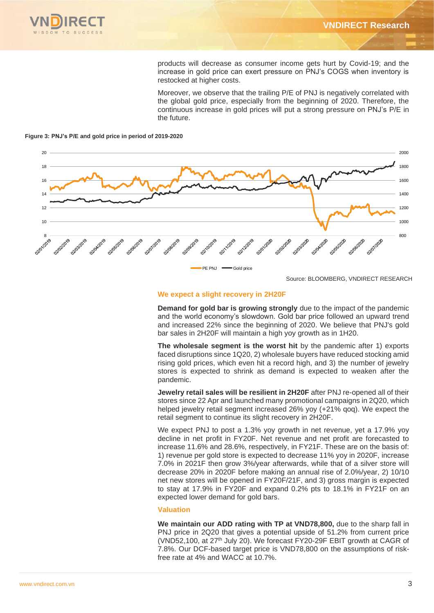

products will decrease as consumer income gets hurt by Covid-19; and the increase in gold price can exert pressure on PNJ's COGS when inventory is restocked at higher costs.

Moreover, we observe that the trailing P/E of PNJ is negatively correlated with the global gold price, especially from the beginning of 2020. Therefore, the continuous increase in gold prices will put a strong pressure on PNJ's P/E in the future.





Source: BLOOMBERG, VNDIRECT RESEARCH

# **We expect a slight recovery in 2H20F**

**Demand for gold bar is growing strongly** due to the impact of the pandemic and the world economy's slowdown. Gold bar price followed an upward trend and increased 22% since the beginning of 2020. We believe that PNJ's gold bar sales in 2H20F will maintain a high yoy growth as in 1H20.

**The wholesale segment is the worst hit** by the pandemic after 1) exports faced disruptions since 1Q20, 2) wholesale buyers have reduced stocking amid rising gold prices, which even hit a record high, and 3) the number of jewelry stores is expected to shrink as demand is expected to weaken after the pandemic.

**Jewelry retail sales will be resilient in 2H20F** after PNJ re-opened all of their stores since 22 Apr and launched many promotional campaigns in 2Q20, which helped jewelry retail segment increased 26% yoy (+21% qoq). We expect the retail segment to continue its slight recovery in 2H20F.

We expect PNJ to post a 1.3% yoy growth in net revenue, yet a 17.9% yoy decline in net profit in FY20F. Net revenue and net profit are forecasted to increase 11.6% and 28.6%, respectively, in FY21F. These are on the basis of: 1) revenue per gold store is expected to decrease 11% yoy in 2020F, increase 7.0% in 2021F then grow 3%/year afterwards, while that of a silver store will decrease 20% in 2020F before making an annual rise of 2.0%/year, 2) 10/10 net new stores will be opened in FY20F/21F, and 3) gross margin is expected to stay at 17.9% in FY20F and expand 0.2% pts to 18.1% in FY21F on an expected lower demand for gold bars.

# **Valuation**

**We maintain our ADD rating with TP at VND78,800,** due to the sharp fall in PNJ price in 2Q20 that gives a potential upside of 51.2% from current price (VND52,100, at 27<sup>th</sup> July 20). We forecast FY20-29F EBIT growth at CAGR of 7.8%. Our DCF-based target price is VND78,800 on the assumptions of riskfree rate at 4% and WACC at 10.7%.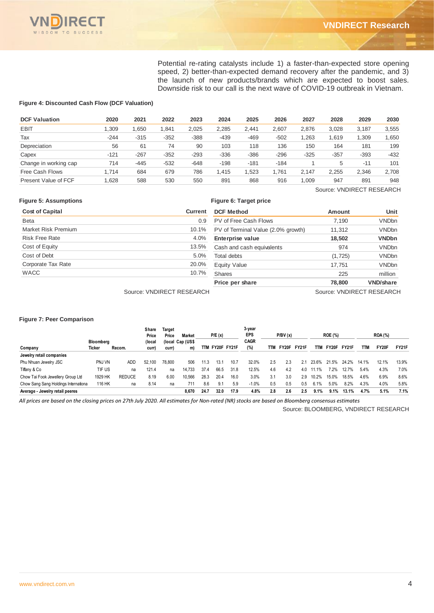

Potential re-rating catalysts include 1) a faster-than-expected store opening speed, 2) better-than-expected demand recovery after the pandemic, and 3) the launch of new products/brands which are expected to boost sales. Downside risk to our call is the next wave of COVID-19 outbreak in Vietnam.

#### **Figure 4: Discounted Cash Flow (DCF Valuation)**

| <b>DCF Valuation</b>  | 2020   | 2021   | 2022   | 2023   | 2024   | 2025   | 2026   | 2027   | 2028   | 2029   | 2030   |
|-----------------------|--------|--------|--------|--------|--------|--------|--------|--------|--------|--------|--------|
| <b>EBIT</b>           | .309   | .650   | 1.841  | 2.025  | 2.285  | 2.441  | 2.607  | 2.876  | 3.028  | 3,187  | 3,555  |
| Tax                   | $-244$ | $-315$ | $-352$ | $-388$ | $-439$ | $-469$ | $-502$ | .263   | 1.619  | .309   | 1,650  |
| Depreciation          | 56     | 61     | 74     | 90     | 103    | 118    | 136    | 150    | 164    | 181    | 199    |
| Capex                 | $-121$ | $-267$ | $-352$ | $-293$ | $-336$ | $-386$ | $-296$ | $-325$ | $-357$ | $-393$ | $-432$ |
| Change in working cap | 714    | $-445$ | $-532$ | $-648$ | $-198$ | $-181$ | $-184$ |        | 5      | $-11$  | 101    |
| Free Cash Flows       | 1.714  | 684    | 679    | 786    | 1.415  | .523   | .761   | 2.147  | 2.255  | 2.346  | 2,708  |
| Present Value of FCF  | .628   | 588    | 530    | 550    | 891    | 868    | 916    | .009   | 947    | 891    | 948    |

Source: VNDIRECT RESEARCH

| <b>Figure 5: Assumptions</b> |                           | Figure 6: Target price             |                           |                  |
|------------------------------|---------------------------|------------------------------------|---------------------------|------------------|
| <b>Cost of Capital</b>       | Current                   | <b>DCF Method</b>                  | <b>Amount</b>             | Unit             |
| Beta                         | 0.9                       | PV of Free Cash Flows              | 7.190                     | <b>VNDbn</b>     |
| Market Risk Premium          | 10.1%                     | PV of Terminal Value (2.0% growth) | 11,312                    | <b>VNDbn</b>     |
| <b>Risk Free Rate</b>        | 4.0%                      | Enterprise value                   | 18,502                    | <b>VNDbn</b>     |
| Cost of Equity               | 13.5%                     | Cash and cash equivalents          | 974                       | <b>VNDbn</b>     |
| Cost of Debt                 | 5.0%                      | <b>Total debts</b>                 | (1,725)                   | <b>VNDbn</b>     |
| Corporate Tax Rate           | 20.0%                     | Equity Value                       | 17.751                    | <b>VNDbn</b>     |
| <b>WACC</b>                  | 10.7%                     | <b>Shares</b>                      | 225                       | million          |
|                              |                           | Price per share                    | 78,800                    | <b>VND/share</b> |
|                              | Source: VNDIRECT RESEARCH |                                    | Source: VNDIRECT RESEARCH |                  |

#### **Figure 7: Peer Comparison**

|                                      |           |               | Share<br>Price | Target<br>Price | Market           |      | P/E(x) |             | 3-year<br><b>EPS</b> |     | P/BV(x) |              |       | <b>ROE (%)</b> |       |            | <b>ROA</b> (%) |       |
|--------------------------------------|-----------|---------------|----------------|-----------------|------------------|------|--------|-------------|----------------------|-----|---------|--------------|-------|----------------|-------|------------|----------------|-------|
|                                      | Bloomberg |               | (local         |                 | (local Cap (US\$ |      |        |             | <b>CAGR</b>          |     |         |              |       |                |       |            |                |       |
| Company                              | Ticker    | Recom.        | curr           | <b>curr</b>     | m)               | TTM  |        | FY20F FY21F | (%)                  | TTM | FY20F   | <b>FY21F</b> | TТM   | FY20F          | FY21F | <b>TTM</b> | FY20F          | FY21F |
| Jewelry retail companies             |           |               |                |                 |                  |      |        |             |                      |     |         |              |       |                |       |            |                |       |
| Phu Nhuan Jewelry JSC                | PNJ VN    | ADD           | 52.100         | 78.800          | 506              | 11.3 | 13.1   | 10.7        | 32.0%                | 2.5 | 2.3     | 2.1          | 23.6% | 21.5%          | 24.2% | 14.1%      | 12.1%          | 13.9% |
| Tiffany & Co                         | TIF US    | na            | 121.4          | na              | 14.733           | 37.4 | 66.5   | 31.8        | 12.5%                | 4.6 | 4.2     | 4.0          | 11.1% | 7.2%           | 12.7% | 5.4%       | 4.3%           | 7.0%  |
| Chow Tai Fook Jewellery Group Ltd    | 1929 HK   | <b>REDUCE</b> | 8.19           | 6.00            | 10.566           | 28.3 | 20.4   | 16.0        | 3.0%                 | 3.1 | 3.0     | 2.9          | 10.2% | 15.0%          | 18.5% | 4.6%       | 6.9%           | 8.6%  |
| Chow Sang Sang Holdings Internationa | 116 HK    | na            | 8.14           | na              | 711              | 8.6  | 9.1    | 5.9         | $-1.0%$              | 0.5 | 0.5     | 0.5          | 6.1%  | 5.0%           | 8.2%  | 4.3%       | 4.0%           | 5.8%  |
| Average - Jewelry retail peeres      |           |               |                |                 | 8.670            | 24.7 | 32.0   | 17.9        | 4.8%                 | 2.8 | 2.6     | 2.5          | 9.1%  | 9.1%           | 13.1% | 4.7%       | 5.1%           | 7.1%  |

*All prices are based on the closing prices on 27th July 2020. All estimates for Non-rated (NR) stocks are based on Bloomberg consensus estimates*

Source: BLOOMBERG, VNDIRECT RESEARCH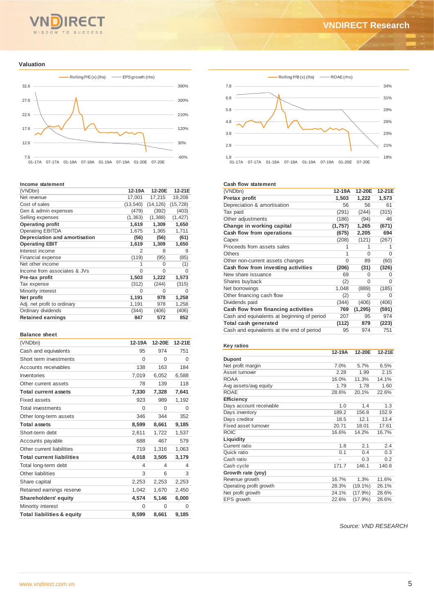#### ד־ TO SUCCESS SDOM

#### **Valuation**



#### **Income statement**

| (VNDbn)                       | 12-19A    | 12-20E    | 12-21E    |
|-------------------------------|-----------|-----------|-----------|
| Net revenue                   | 17,001    | 17,215    | 19,208    |
| Cost of sales                 | (13, 540) | (14, 126) | (15, 728) |
| Gen & admin expenses          | (479)     | (392)     | (403)     |
| Selling expenses              | (1, 363)  | (1, 388)  | (1, 427)  |
| <b>Operating profit</b>       | 1,619     | 1,309     | 1,650     |
| <b>Operating EBITDA</b>       | 1,675     | 1,365     | 1,711     |
| Depreciation and amortisation | (56)      | (56)      | (61)      |
| <b>Operating EBIT</b>         | 1,619     | 1,309     | 1,650     |
| Interest income               | 2         | 8         | 9         |
| Financial expense             | (119)     | (95)      | (85)      |
| Net other income              | 1         | $\Omega$  | (1)       |
| Income from associates & JVs  | 0         | 0         | 0         |
| Pre-tax profit                | 1,503     | 1,222     | 1,573     |
| Tax expense                   | (312)     | (244)     | (315)     |
| Minority interest             | 0         | 0         | 0         |
| Net profit                    | 1,191     | 978       | 1,258     |
| Adj. net profit to ordinary   | 1,191     | 978       | 1,258     |
| Ordinary dividends            | (344)     | (406)     | (406)     |
| <b>Retained earnings</b>      | 847       | 572       | 852       |

#### **Balance sheet**

| (VNDbn)                               | 12-19A   | 12-20E   | 12-21E   |
|---------------------------------------|----------|----------|----------|
| Cash and equivalents                  | 95       | 974      | 751      |
| Short term investments                | $\Omega$ | $\Omega$ | 0        |
| Accounts receivables                  | 138      | 163      | 184      |
| Inventories                           | 7,019    | 6,052    | 6,588    |
| Other current assets                  | 78       | 139      | 118      |
| <b>Total current assets</b>           | 7,330    | 7,328    | 7,641    |
| <b>Fixed assets</b>                   | 923      | 989      | 1,192    |
| <b>Total investments</b>              | $\Omega$ | $\Omega$ | $\Omega$ |
| Other long-term assets                | 346      | 344      | 352      |
| <b>Total assets</b>                   | 8,599    | 8,661    | 9,185    |
| Short-term debt                       | 2,611    | 1,722    | 1,537    |
| Accounts payable                      | 688      | 467      | 579      |
| Other current liabilities             | 719      | 1,316    | 1,063    |
| <b>Total current liabilities</b>      | 4,018    | 3,505    | 3,179    |
| Total long-term debt                  | 4        | 4        | 4        |
| Other liabilities                     | 3        | 6        | 3        |
| Share capital                         | 2,253    | 2,253    | 2,253    |
| Retained earnings reserve             | 1,042    | 1,670    | 2,450    |
| Shareholders' equity                  | 4,574    | 5,146    | 6,000    |
| Minority interest                     | $\Omega$ | $\Omega$ | 0        |
| <b>Total liabilities &amp; equity</b> | 8,599    | 8,661    | 9,185    |



#### **Cash flow statement**

| (VNDbn)                                     | 12-19A   | 12-20E   | 12-21E |
|---------------------------------------------|----------|----------|--------|
| Pretax profit                               | 1,503    | 1,222    | 1,573  |
| Depreciation & amortisation                 | 56       | 56       | 61     |
| Tax paid                                    | (291)    | (244)    | (315)  |
| Other adjustments                           | (186)    | (94)     | 46     |
| Change in working capital                   | (1,757)  | 1,265    | (671)  |
| Cash flow from operations                   | (675)    | 2,205    | 694    |
| Capex                                       | (208)    | (121)    | (267)  |
| Proceeds from assets sales                  |          | 1        |        |
| <b>Others</b>                               | 1        | 0        | 0      |
| Other non-current assets changes            | $\Omega$ | 89       | (60)   |
| Cash flow from investing activities         | (206)    | (31)     | (326)  |
| New share issuance                          | 69       | O        | O      |
| Shares buyback                              | (2)      | O        | 0      |
| Net borrowings                              | 1,048    | (889)    | (185)  |
| Other financing cash flow                   | (2)      | $\Omega$ | 0      |
| Dividends paid                              | (344)    | (406)    | (406)  |
| Cash flow from financing activities         | 769      | (1, 295) | (591)  |
| Cash and equivalents at beginning of period | 207      | 95       | 974    |
| Total cash generated                        | (112)    | 879      | (223)  |
| Cash and equivalents at the end of period   | 95       | 974      | 751    |

| Key ratios              |        |            |        |
|-------------------------|--------|------------|--------|
|                         | 12-19A | 12-20E     | 12-21E |
| <b>Dupont</b>           |        |            |        |
| Net profit margin       | 7.0%   | 5.7%       | 6.5%   |
| Asset turnover          | 2.28   | 1.99       | 2.15   |
| <b>ROAA</b>             | 16.0%  | 11.3%      | 14.1%  |
| Avg assets/avg equity   | 1.79   | 1.78       | 1.60   |
| <b>ROAE</b>             | 28.6%  | 20.1%      | 22.6%  |
| Efficiency              |        |            |        |
| Days account receivable | 1.0    | 1.4        | 1.3    |
| Days inventory          | 189.2  | 156.8      | 152.9  |
| Days creditor           | 18.5   | 12.1       | 13.4   |
| Fixed asset turnover    | 20.71  | 18.01      | 17.61  |
| <b>ROIC</b>             | 16.6%  | 14.2%      | 16.7%  |
| Liquidity               |        |            |        |
| Current ratio           | 1.8    | 21         | 24     |
| Quick ratio             | 0.1    | 0.4        | 0.3    |
| Cash ratio              |        | 0.3        | 0.2    |
| Cash cycle              | 171.7  | 146.1      | 140.8  |
| Growth rate (yoy)       |        |            |        |
| Revenue growth          | 16.7%  | 1.3%       | 11.6%  |
| Operating profit growth | 28.3%  | $(19.1\%)$ | 26.1%  |
| Net profit growth       | 24.1%  | $(17.9\%)$ | 28.6%  |
| EPS growth              | 22.6%  | $(17.9\%)$ | 28.6%  |
|                         |        |            |        |

*Source: VND RESEARCH*